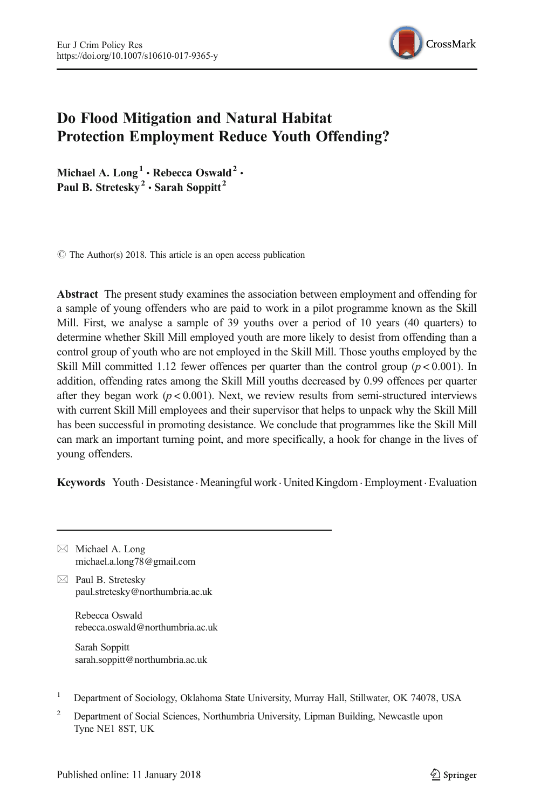

# Do Flood Mitigation and Natural Habitat Protection Employment Reduce Youth Offending?

Michael A. Long<sup>1</sup> . Rebecca Oswald<sup>2</sup> . Paul B. Stretesky<sup>2</sup>  $\cdot$  Sarah Soppitt<sup>2</sup>

 $\circ$  The Author(s) 2018. This article is an open access publication

Abstract The present study examines the association between employment and offending for a sample of young offenders who are paid to work in a pilot programme known as the Skill Mill. First, we analyse a sample of 39 youths over a period of 10 years (40 quarters) to determine whether Skill Mill employed youth are more likely to desist from offending than a control group of youth who are not employed in the Skill Mill. Those youths employed by the Skill Mill committed 1.12 fewer offences per quarter than the control group ( $p < 0.001$ ). In addition, offending rates among the Skill Mill youths decreased by 0.99 offences per quarter after they began work  $(p < 0.001)$ . Next, we review results from semi-structured interviews with current Skill Mill employees and their supervisor that helps to unpack why the Skill Mill has been successful in promoting desistance. We conclude that programmes like the Skill Mill can mark an important turning point, and more specifically, a hook for change in the lives of young offenders.

Keywords Youth · Desistance · Meaningful work · United Kingdom · Employment · Evaluation

 $\boxtimes$  Michael A. Long michael.a.long78@gmail.com

 $\boxtimes$  Paul B. Stretesky paul.stretesky@northumbria.ac.uk

> Rebecca Oswald rebecca.oswald@northumbria.ac.uk

Sarah Soppitt sarah.soppitt@northumbria.ac.uk

- <sup>1</sup> Department of Sociology, Oklahoma State University, Murray Hall, Stillwater, OK 74078, USA
- <sup>2</sup> Department of Social Sciences, Northumbria University, Lipman Building, Newcastle upon Tyne NE1 8ST, UK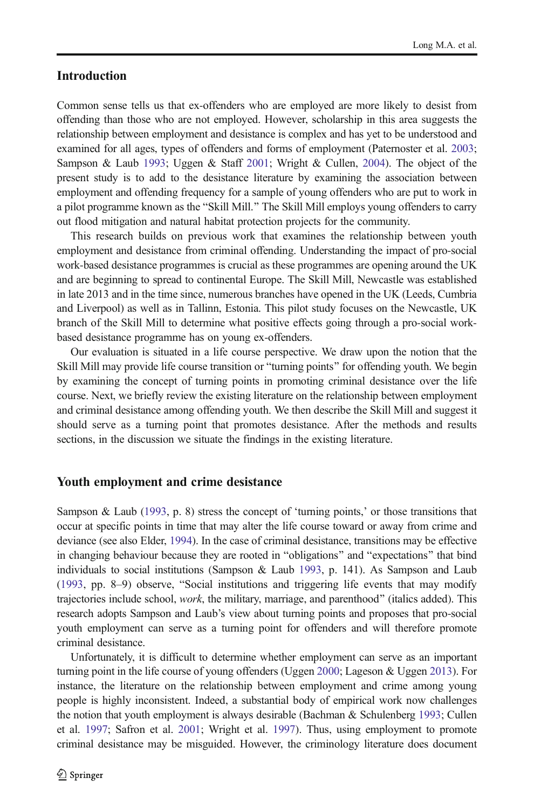# **Introduction**

Common sense tells us that ex-offenders who are employed are more likely to desist from offending than those who are not employed. However, scholarship in this area suggests the relationship between employment and desistance is complex and has yet to be understood and examined for all ages, types of offenders and forms of employment (Paternoster et al. [2003](#page-16-0); Sampson & Laub [1993](#page-16-0); Uggen & Staff [2001;](#page-16-0) Wright & Cullen, [2004](#page-16-0)). The object of the present study is to add to the desistance literature by examining the association between employment and offending frequency for a sample of young offenders who are put to work in a pilot programme known as the "Skill Mill." The Skill Mill employs young offenders to carry out flood mitigation and natural habitat protection projects for the community.

This research builds on previous work that examines the relationship between youth employment and desistance from criminal offending. Understanding the impact of pro-social work-based desistance programmes is crucial as these programmes are opening around the UK and are beginning to spread to continental Europe. The Skill Mill, Newcastle was established in late 2013 and in the time since, numerous branches have opened in the UK (Leeds, Cumbria and Liverpool) as well as in Tallinn, Estonia. This pilot study focuses on the Newcastle, UK branch of the Skill Mill to determine what positive effects going through a pro-social workbased desistance programme has on young ex-offenders.

Our evaluation is situated in a life course perspective. We draw upon the notion that the Skill Mill may provide life course transition or "turning points" for offending youth. We begin by examining the concept of turning points in promoting criminal desistance over the life course. Next, we briefly review the existing literature on the relationship between employment and criminal desistance among offending youth. We then describe the Skill Mill and suggest it should serve as a turning point that promotes desistance. After the methods and results sections, in the discussion we situate the findings in the existing literature.

## Youth employment and crime desistance

Sampson & Laub  $(1993, p. 8)$  $(1993, p. 8)$  $(1993, p. 8)$  stress the concept of 'turning points,' or those transitions that occur at specific points in time that may alter the life course toward or away from crime and deviance (see also Elder, [1994](#page-15-0)). In the case of criminal desistance, transitions may be effective in changing behaviour because they are rooted in "obligations" and "expectations" that bind individuals to social institutions (Sampson & Laub [1993,](#page-16-0) p. 141). As Sampson and Laub  $(1993, pp. 8-9)$  $(1993, pp. 8-9)$  $(1993, pp. 8-9)$  observe, "Social institutions and triggering life events that may modify trajectories include school, *work*, the military, marriage, and parenthood" (italics added). This research adopts Sampson and Laub's view about turning points and proposes that pro-social youth employment can serve as a turning point for offenders and will therefore promote criminal desistance.

Unfortunately, it is difficult to determine whether employment can serve as an important turning point in the life course of young offenders (Uggen [2000](#page-16-0); Lageson & Uggen [2013](#page-16-0)). For instance, the literature on the relationship between employment and crime among young people is highly inconsistent. Indeed, a substantial body of empirical work now challenges the notion that youth employment is always desirable (Bachman & Schulenberg [1993](#page-15-0); Cullen et al. [1997;](#page-15-0) Safron et al. [2001](#page-16-0); Wright et al. [1997](#page-16-0)). Thus, using employment to promote criminal desistance may be misguided. However, the criminology literature does document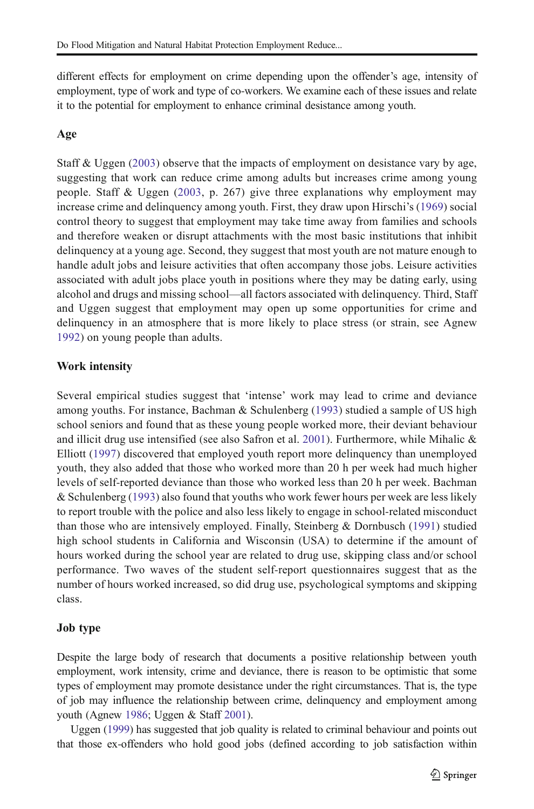different effects for employment on crime depending upon the offender's age, intensity of employment, type of work and type of co-workers. We examine each of these issues and relate it to the potential for employment to enhance criminal desistance among youth.

# Age

Staff & Uggen ([2003](#page-16-0)) observe that the impacts of employment on desistance vary by age, suggesting that work can reduce crime among adults but increases crime among young people. Staff & Uggen [\(2003,](#page-16-0) p. 267) give three explanations why employment may increase crime and delinquency among youth. First, they draw upon Hirschi's ([1969](#page-15-0)) social control theory to suggest that employment may take time away from families and schools and therefore weaken or disrupt attachments with the most basic institutions that inhibit delinquency at a young age. Second, they suggest that most youth are not mature enough to handle adult jobs and leisure activities that often accompany those jobs. Leisure activities associated with adult jobs place youth in positions where they may be dating early, using alcohol and drugs and missing school—all factors associated with delinquency. Third, Staff and Uggen suggest that employment may open up some opportunities for crime and delinquency in an atmosphere that is more likely to place stress (or strain, see Agnew [1992](#page-15-0)) on young people than adults.

# Work intensity

Several empirical studies suggest that 'intense' work may lead to crime and deviance among youths. For instance, Bachman & Schulenberg [\(1993\)](#page-15-0) studied a sample of US high school seniors and found that as these young people worked more, their deviant behaviour and illicit drug use intensified (see also Safron et al. [2001](#page-16-0)). Furthermore, while Mihalic  $\&$ Elliott ([1997\)](#page-16-0) discovered that employed youth report more delinquency than unemployed youth, they also added that those who worked more than 20 h per week had much higher levels of self-reported deviance than those who worked less than 20 h per week. Bachman & Schulenberg ([1993](#page-15-0)) also found that youths who work fewer hours per week are less likely to report trouble with the police and also less likely to engage in school-related misconduct than those who are intensively employed. Finally, Steinberg & Dornbusch ([1991](#page-16-0)) studied high school students in California and Wisconsin (USA) to determine if the amount of hours worked during the school year are related to drug use, skipping class and/or school performance. Two waves of the student self-report questionnaires suggest that as the number of hours worked increased, so did drug use, psychological symptoms and skipping class.

# Job type

Despite the large body of research that documents a positive relationship between youth employment, work intensity, crime and deviance, there is reason to be optimistic that some types of employment may promote desistance under the right circumstances. That is, the type of job may influence the relationship between crime, delinquency and employment among youth (Agnew [1986;](#page-15-0) Uggen & Staff [2001](#page-16-0)).

Uggen [\(1999\)](#page-16-0) has suggested that job quality is related to criminal behaviour and points out that those ex-offenders who hold good jobs (defined according to job satisfaction within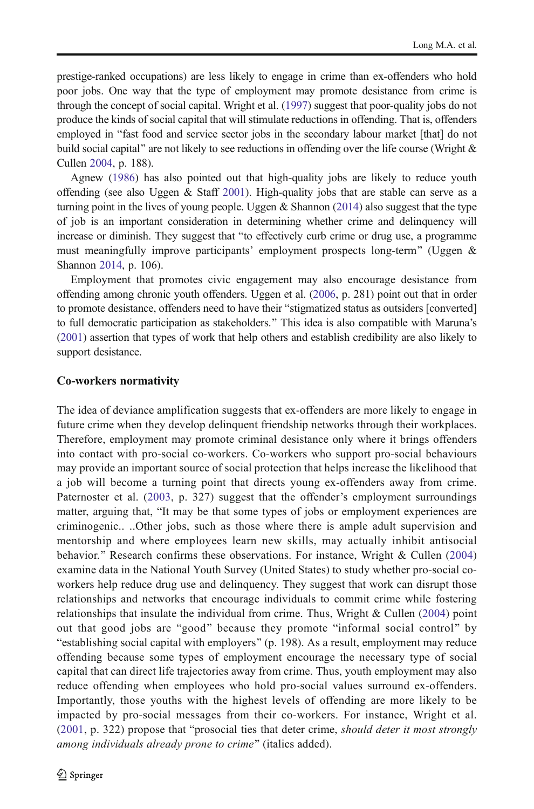prestige-ranked occupations) are less likely to engage in crime than ex-offenders who hold poor jobs. One way that the type of employment may promote desistance from crime is through the concept of social capital. Wright et al. ([1997](#page-16-0)) suggest that poor-quality jobs do not produce the kinds of social capital that will stimulate reductions in offending. That is, offenders employed in "fast food and service sector jobs in the secondary labour market [that] do not build social capital" are not likely to see reductions in offending over the life course (Wright  $\&$ Cullen [2004,](#page-16-0) p. 188).

Agnew [\(1986](#page-15-0)) has also pointed out that high-quality jobs are likely to reduce youth offending (see also Uggen & Staff [2001\)](#page-16-0). High-quality jobs that are stable can serve as a turning point in the lives of young people. Uggen  $\&$  Shannon [\(2014](#page-16-0)) also suggest that the type of job is an important consideration in determining whether crime and delinquency will increase or diminish. They suggest that "to effectively curb crime or drug use, a programme must meaningfully improve participants' employment prospects long-term^ (Uggen & Shannon [2014](#page-16-0), p. 106).

Employment that promotes civic engagement may also encourage desistance from offending among chronic youth offenders. Uggen et al. ([2006](#page-16-0), p. 281) point out that in order to promote desistance, offenders need to have their "stigmatized status as outsiders [converted] to full democratic participation as stakeholders." This idea is also compatible with Maruna's ([2001](#page-16-0)) assertion that types of work that help others and establish credibility are also likely to support desistance.

#### Co-workers normativity

The idea of deviance amplification suggests that ex-offenders are more likely to engage in future crime when they develop delinquent friendship networks through their workplaces. Therefore, employment may promote criminal desistance only where it brings offenders into contact with pro-social co-workers. Co-workers who support pro-social behaviours may provide an important source of social protection that helps increase the likelihood that a job will become a turning point that directs young ex-offenders away from crime. Paternoster et al. [\(2003,](#page-16-0) p. 327) suggest that the offender's employment surroundings matter, arguing that, "It may be that some types of jobs or employment experiences are criminogenic.. ..Other jobs, such as those where there is ample adult supervision and mentorship and where employees learn new skills, may actually inhibit antisocial behavior." Research confirms these observations. For instance, Wright & Cullen [\(2004\)](#page-16-0) examine data in the National Youth Survey (United States) to study whether pro-social coworkers help reduce drug use and delinquency. They suggest that work can disrupt those relationships and networks that encourage individuals to commit crime while fostering relationships that insulate the individual from crime. Thus, Wright & Cullen ([2004](#page-16-0)) point out that good jobs are "good" because they promote "informal social control" by "establishing social capital with employers" (p. 198). As a result, employment may reduce offending because some types of employment encourage the necessary type of social capital that can direct life trajectories away from crime. Thus, youth employment may also reduce offending when employees who hold pro-social values surround ex-offenders. Importantly, those youths with the highest levels of offending are more likely to be impacted by pro-social messages from their co-workers. For instance, Wright et al.  $(2001, p. 322)$  $(2001, p. 322)$  $(2001, p. 322)$  propose that "prosocial ties that deter crime, should deter it most strongly among individuals already prone to crime" (italics added).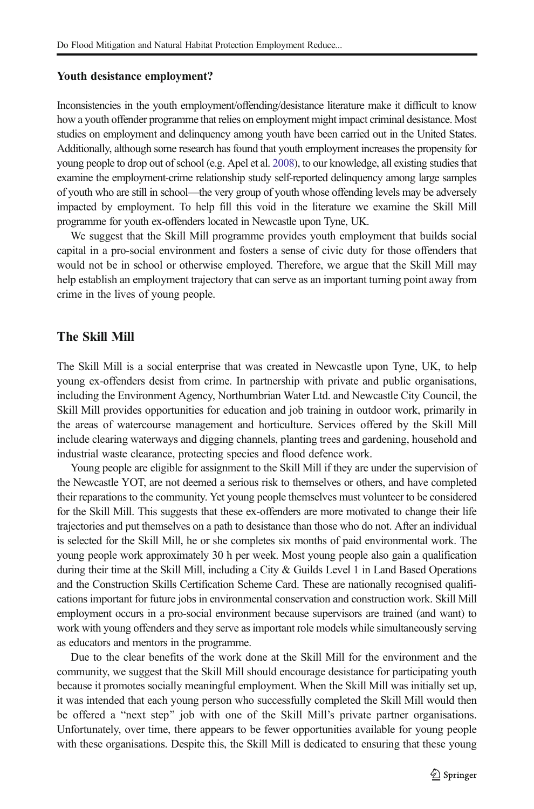#### Youth desistance employment?

Inconsistencies in the youth employment/offending/desistance literature make it difficult to know how a youth offender programme that relies on employment might impact criminal desistance. Most studies on employment and delinquency among youth have been carried out in the United States. Additionally, although some research has found that youth employment increases the propensity for young people to drop out of school (e.g. Apel et al. [2008](#page-15-0)), to our knowledge, all existing studies that examine the employment-crime relationship study self-reported delinquency among large samples of youth who are still in school—the very group of youth whose offending levels may be adversely impacted by employment. To help fill this void in the literature we examine the Skill Mill programme for youth ex-offenders located in Newcastle upon Tyne, UK.

We suggest that the Skill Mill programme provides youth employment that builds social capital in a pro-social environment and fosters a sense of civic duty for those offenders that would not be in school or otherwise employed. Therefore, we argue that the Skill Mill may help establish an employment trajectory that can serve as an important turning point away from crime in the lives of young people.

# The Skill Mill

The Skill Mill is a social enterprise that was created in Newcastle upon Tyne, UK, to help young ex-offenders desist from crime. In partnership with private and public organisations, including the Environment Agency, Northumbrian Water Ltd. and Newcastle City Council, the Skill Mill provides opportunities for education and job training in outdoor work, primarily in the areas of watercourse management and horticulture. Services offered by the Skill Mill include clearing waterways and digging channels, planting trees and gardening, household and industrial waste clearance, protecting species and flood defence work.

Young people are eligible for assignment to the Skill Mill if they are under the supervision of the Newcastle YOT, are not deemed a serious risk to themselves or others, and have completed their reparations to the community. Yet young people themselves must volunteer to be considered for the Skill Mill. This suggests that these ex-offenders are more motivated to change their life trajectories and put themselves on a path to desistance than those who do not. After an individual is selected for the Skill Mill, he or she completes six months of paid environmental work. The young people work approximately 30 h per week. Most young people also gain a qualification during their time at the Skill Mill, including a City & Guilds Level 1 in Land Based Operations and the Construction Skills Certification Scheme Card. These are nationally recognised qualifications important for future jobs in environmental conservation and construction work. Skill Mill employment occurs in a pro-social environment because supervisors are trained (and want) to work with young offenders and they serve as important role models while simultaneously serving as educators and mentors in the programme.

Due to the clear benefits of the work done at the Skill Mill for the environment and the community, we suggest that the Skill Mill should encourage desistance for participating youth because it promotes socially meaningful employment. When the Skill Mill was initially set up, it was intended that each young person who successfully completed the Skill Mill would then be offered a "next step" job with one of the Skill Mill's private partner organisations. Unfortunately, over time, there appears to be fewer opportunities available for young people with these organisations. Despite this, the Skill Mill is dedicated to ensuring that these young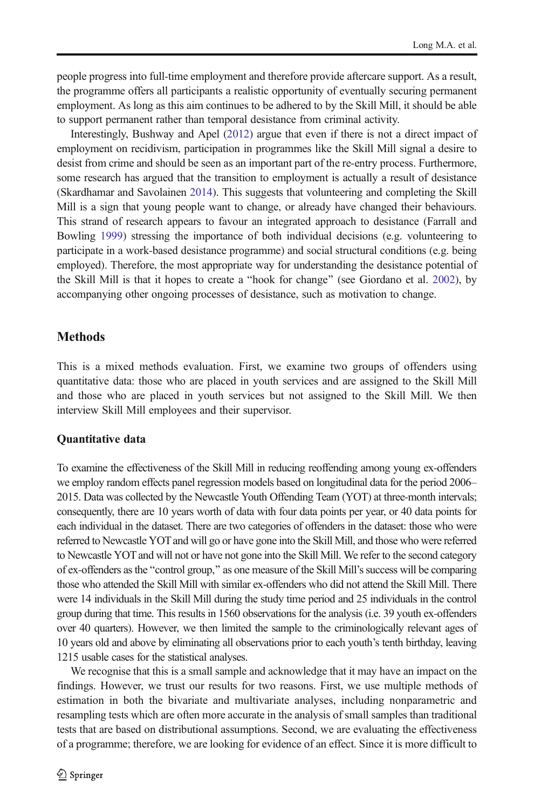people progress into full-time employment and therefore provide aftercare support. As a result, the programme offers all participants a realistic opportunity of eventually securing permanent employment. As long as this aim continues to be adhered to by the Skill Mill, it should be able to support permanent rather than temporal desistance from criminal activity.

Interestingly, Bushway and Apel ([2012](#page-15-0)) argue that even if there is not a direct impact of employment on recidivism, participation in programmes like the Skill Mill signal a desire to desist from crime and should be seen as an important part of the re-entry process. Furthermore, some research has argued that the transition to employment is actually a result of desistance (Skardhamar and Savolainen [2014\)](#page-16-0). This suggests that volunteering and completing the Skill Mill is a sign that young people want to change, or already have changed their behaviours. This strand of research appears to favour an integrated approach to desistance (Farrall and Bowling [1999](#page-15-0)) stressing the importance of both individual decisions (e.g. volunteering to participate in a work-based desistance programme) and social structural conditions (e.g. being employed). Therefore, the most appropriate way for understanding the desistance potential of the Skill Mill is that it hopes to create a "hook for change" (see Giordano et al. [2002\)](#page-15-0), by accompanying other ongoing processes of desistance, such as motivation to change.

## **Methods**

This is a mixed methods evaluation. First, we examine two groups of offenders using quantitative data: those who are placed in youth services and are assigned to the Skill Mill and those who are placed in youth services but not assigned to the Skill Mill. We then interview Skill Mill employees and their supervisor.

#### Quantitative data

To examine the effectiveness of the Skill Mill in reducing reoffending among young ex-offenders we employ random effects panel regression models based on longitudinal data for the period 2006– 2015. Data was collected by the Newcastle Youth Offending Team (YOT) at three-month intervals; consequently, there are 10 years worth of data with four data points per year, or 40 data points for each individual in the dataset. There are two categories of offenders in the dataset: those who were referred to Newcastle YOTand will go or have gone into the Skill Mill, and those who were referred to Newcastle YOT and will not or have not gone into the Skill Mill. We refer to the second category of ex-offenders as the "control group," as one measure of the Skill Mill's success will be comparing those who attended the Skill Mill with similar ex-offenders who did not attend the Skill Mill. There were 14 individuals in the Skill Mill during the study time period and 25 individuals in the control group during that time. This results in 1560 observations for the analysis (i.e. 39 youth ex-offenders over 40 quarters). However, we then limited the sample to the criminologically relevant ages of 10 years old and above by eliminating all observations prior to each youth's tenth birthday, leaving 1215 usable cases for the statistical analyses.

We recognise that this is a small sample and acknowledge that it may have an impact on the findings. However, we trust our results for two reasons. First, we use multiple methods of estimation in both the bivariate and multivariate analyses, including nonparametric and resampling tests which are often more accurate in the analysis of small samples than traditional tests that are based on distributional assumptions. Second, we are evaluating the effectiveness of a programme; therefore, we are looking for evidence of an effect. Since it is more difficult to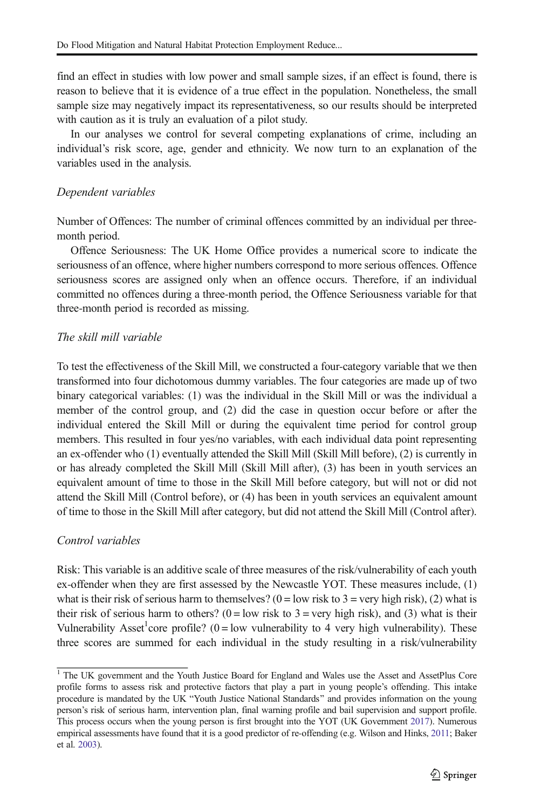find an effect in studies with low power and small sample sizes, if an effect is found, there is reason to believe that it is evidence of a true effect in the population. Nonetheless, the small sample size may negatively impact its representativeness, so our results should be interpreted with caution as it is truly an evaluation of a pilot study.

In our analyses we control for several competing explanations of crime, including an individual's risk score, age, gender and ethnicity. We now turn to an explanation of the variables used in the analysis.

## Dependent variables

Number of Offences: The number of criminal offences committed by an individual per threemonth period.

Offence Seriousness: The UK Home Office provides a numerical score to indicate the seriousness of an offence, where higher numbers correspond to more serious offences. Offence seriousness scores are assigned only when an offence occurs. Therefore, if an individual committed no offences during a three-month period, the Offence Seriousness variable for that three-month period is recorded as missing.

## The skill mill variable

To test the effectiveness of the Skill Mill, we constructed a four-category variable that we then transformed into four dichotomous dummy variables. The four categories are made up of two binary categorical variables: (1) was the individual in the Skill Mill or was the individual a member of the control group, and (2) did the case in question occur before or after the individual entered the Skill Mill or during the equivalent time period for control group members. This resulted in four yes/no variables, with each individual data point representing an ex-offender who (1) eventually attended the Skill Mill (Skill Mill before), (2) is currently in or has already completed the Skill Mill (Skill Mill after), (3) has been in youth services an equivalent amount of time to those in the Skill Mill before category, but will not or did not attend the Skill Mill (Control before), or (4) has been in youth services an equivalent amount of time to those in the Skill Mill after category, but did not attend the Skill Mill (Control after).

## Control variables

Risk: This variable is an additive scale of three measures of the risk/vulnerability of each youth ex-offender when they are first assessed by the Newcastle YOT. These measures include, (1) what is their risk of serious harm to themselves?  $(0 = low$  risk to  $3 = very$  high risk), (2) what is their risk of serious harm to others? ( $0 =$  low risk to  $3 =$  very high risk), and (3) what is their Vulnerability Asset<sup>1</sup>core profile? ( $0 = low$  vulnerability to 4 very high vulnerability). These three scores are summed for each individual in the study resulting in a risk/vulnerability

<sup>&</sup>lt;sup>1</sup> The UK government and the Youth Justice Board for England and Wales use the Asset and AssetPlus Core profile forms to assess risk and protective factors that play a part in young people's offending. This intake procedure is mandated by the UK "Youth Justice National Standards" and provides information on the young person's risk of serious harm, intervention plan, final warning profile and bail supervision and support profile. This process occurs when the young person is first brought into the YOT (UK Government [2017](#page-16-0)). Numerous empirical assessments have found that it is a good predictor of re-offending (e.g. Wilson and Hinks, [2011](#page-16-0); Baker et al. [2003\)](#page-15-0).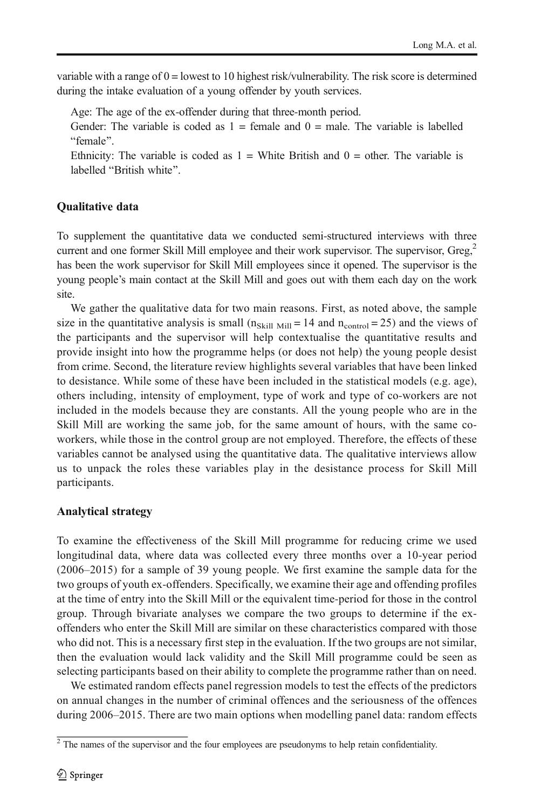variable with a range of  $0 =$  lowest to 10 highest risk/vulnerability. The risk score is determined during the intake evaluation of a young offender by youth services.

Age: The age of the ex-offender during that three-month period.

Gender: The variable is coded as  $1 =$  female and  $0 =$  male. The variable is labelled "female"

Ethnicity: The variable is coded as  $1 =$  White British and  $0 =$  other. The variable is labelled "British white".

## Qualitative data

To supplement the quantitative data we conducted semi-structured interviews with three current and one former Skill Mill employee and their work supervisor. The supervisor, Greg,<sup>2</sup> has been the work supervisor for Skill Mill employees since it opened. The supervisor is the young people's main contact at the Skill Mill and goes out with them each day on the work site.

We gather the qualitative data for two main reasons. First, as noted above, the sample size in the quantitative analysis is small ( $n<sub>Skill Mill</sub> = 14$  and  $n<sub>control</sub> = 25$ ) and the views of the participants and the supervisor will help contextualise the quantitative results and provide insight into how the programme helps (or does not help) the young people desist from crime. Second, the literature review highlights several variables that have been linked to desistance. While some of these have been included in the statistical models (e.g. age), others including, intensity of employment, type of work and type of co-workers are not included in the models because they are constants. All the young people who are in the Skill Mill are working the same job, for the same amount of hours, with the same coworkers, while those in the control group are not employed. Therefore, the effects of these variables cannot be analysed using the quantitative data. The qualitative interviews allow us to unpack the roles these variables play in the desistance process for Skill Mill participants.

#### Analytical strategy

To examine the effectiveness of the Skill Mill programme for reducing crime we used longitudinal data, where data was collected every three months over a 10-year period (2006–2015) for a sample of 39 young people. We first examine the sample data for the two groups of youth ex-offenders. Specifically, we examine their age and offending profiles at the time of entry into the Skill Mill or the equivalent time-period for those in the control group. Through bivariate analyses we compare the two groups to determine if the exoffenders who enter the Skill Mill are similar on these characteristics compared with those who did not. This is a necessary first step in the evaluation. If the two groups are not similar, then the evaluation would lack validity and the Skill Mill programme could be seen as selecting participants based on their ability to complete the programme rather than on need.

We estimated random effects panel regression models to test the effects of the predictors on annual changes in the number of criminal offences and the seriousness of the offences during 2006–2015. There are two main options when modelling panel data: random effects

 $\frac{2}{3}$  The names of the supervisor and the four employees are pseudonyms to help retain confidentiality.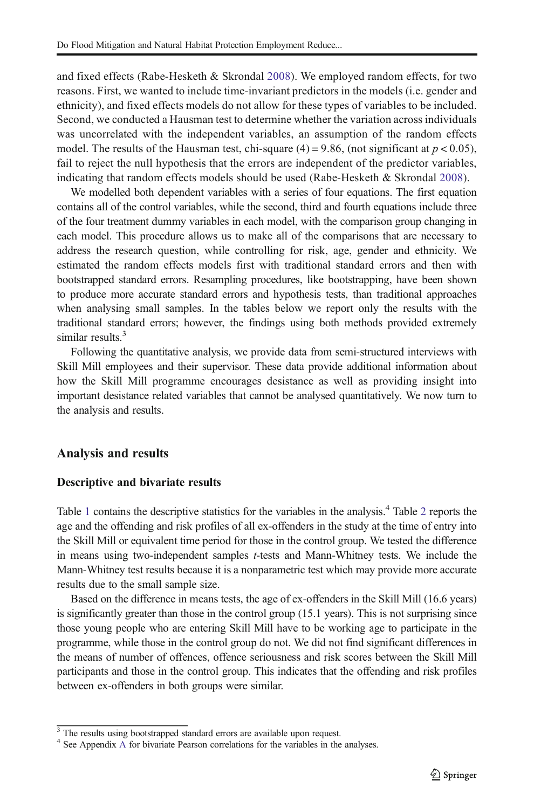and fixed effects (Rabe-Hesketh & Skrondal [2008](#page-16-0)). We employed random effects, for two reasons. First, we wanted to include time-invariant predictors in the models (i.e. gender and ethnicity), and fixed effects models do not allow for these types of variables to be included. Second, we conducted a Hausman test to determine whether the variation across individuals was uncorrelated with the independent variables, an assumption of the random effects model. The results of the Hausman test, chi-square (4) = 9.86, (not significant at  $p < 0.05$ ), fail to reject the null hypothesis that the errors are independent of the predictor variables, indicating that random effects models should be used (Rabe-Hesketh & Skrondal [2008](#page-16-0)).

We modelled both dependent variables with a series of four equations. The first equation contains all of the control variables, while the second, third and fourth equations include three of the four treatment dummy variables in each model, with the comparison group changing in each model. This procedure allows us to make all of the comparisons that are necessary to address the research question, while controlling for risk, age, gender and ethnicity. We estimated the random effects models first with traditional standard errors and then with bootstrapped standard errors. Resampling procedures, like bootstrapping, have been shown to produce more accurate standard errors and hypothesis tests, than traditional approaches when analysing small samples. In the tables below we report only the results with the traditional standard errors; however, the findings using both methods provided extremely similar results. $3$ 

Following the quantitative analysis, we provide data from semi-structured interviews with Skill Mill employees and their supervisor. These data provide additional information about how the Skill Mill programme encourages desistance as well as providing insight into important desistance related variables that cannot be analysed quantitatively. We now turn to the analysis and results.

## Analysis and results

#### Descriptive and bivariate results

Table [1](#page-9-0) contains the descriptive statistics for the variables in the analysis.<sup>4</sup> Table [2](#page-10-0) reports the age and the offending and risk profiles of all ex-offenders in the study at the time of entry into the Skill Mill or equivalent time period for those in the control group. We tested the difference in means using two-independent samples t-tests and Mann-Whitney tests. We include the Mann-Whitney test results because it is a nonparametric test which may provide more accurate results due to the small sample size.

Based on the difference in means tests, the age of ex-offenders in the Skill Mill (16.6 years) is significantly greater than those in the control group (15.1 years). This is not surprising since those young people who are entering Skill Mill have to be working age to participate in the programme, while those in the control group do not. We did not find significant differences in the means of number of offences, offence seriousness and risk scores between the Skill Mill participants and those in the control group. This indicates that the offending and risk profiles between ex-offenders in both groups were similar.

<sup>&</sup>lt;sup>3</sup> The results using bootstrapped standard errors are available upon request.

<sup>&</sup>lt;sup>4</sup> See [A](#page-15-0)ppendix A for bivariate Pearson correlations for the variables in the analyses.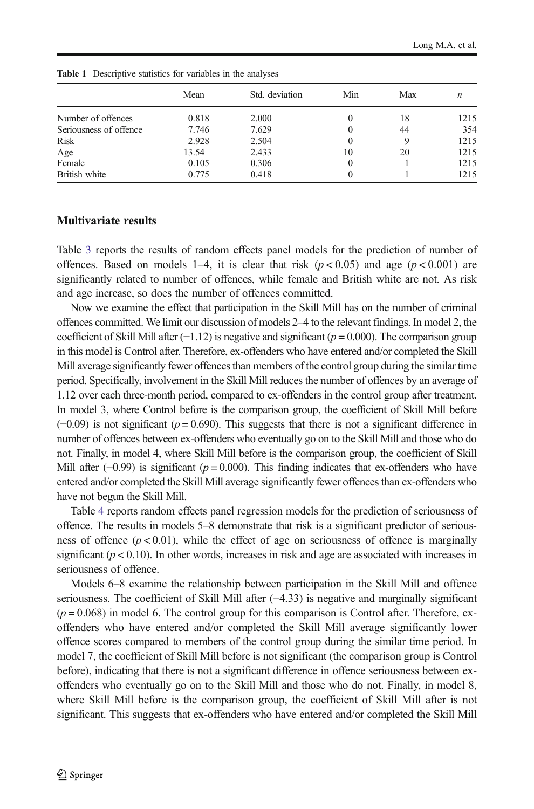|                        | Mean  | Std. deviation | Min | Max | n    |
|------------------------|-------|----------------|-----|-----|------|
| Number of offences     | 0.818 | 2.000          | 0   | 18  | 1215 |
| Seriousness of offence | 7.746 | 7.629          | 0   | 44  | 354  |
| Risk                   | 2.928 | 2.504          |     | 9   | 1215 |
| Age                    | 13.54 | 2.433          | 10  | 20  | 1215 |
| Female                 | 0.105 | 0.306          | 0   |     | 1215 |
| British white          | 0.775 | 0.418          |     |     | 1215 |

<span id="page-9-0"></span>Table 1 Descriptive statistics for variables in the analyses

## Multivariate results

Table [3](#page-11-0) reports the results of random effects panel models for the prediction of number of offences. Based on models 1–4, it is clear that risk ( $p < 0.05$ ) and age ( $p < 0.001$ ) are significantly related to number of offences, while female and British white are not. As risk and age increase, so does the number of offences committed.

Now we examine the effect that participation in the Skill Mill has on the number of criminal offences committed. We limit our discussion of models 2–4 to the relevant findings. In model 2, the coefficient of Skill Mill after  $(-1.12)$  is negative and significant  $(p = 0.000)$ . The comparison group in this model is Control after. Therefore, ex-offenders who have entered and/or completed the Skill Mill average significantly fewer offences than members of the control group during the similar time period. Specifically, involvement in the Skill Mill reduces the number of offences by an average of 1.12 over each three-month period, compared to ex-offenders in the control group after treatment. In model 3, where Control before is the comparison group, the coefficient of Skill Mill before  $(-0.09)$  is not significant (p = 0.690). This suggests that there is not a significant difference in number of offences between ex-offenders who eventually go on to the Skill Mill and those who do not. Finally, in model 4, where Skill Mill before is the comparison group, the coefficient of Skill Mill after  $(-0.99)$  is significant  $(p = 0.000)$ . This finding indicates that ex-offenders who have entered and/or completed the Skill Mill average significantly fewer offences than ex-offenders who have not begun the Skill Mill.

Table [4](#page-11-0) reports random effects panel regression models for the prediction of seriousness of offence. The results in models 5–8 demonstrate that risk is a significant predictor of seriousness of offence  $(p < 0.01)$ , while the effect of age on seriousness of offence is marginally significant ( $p < 0.10$ ). In other words, increases in risk and age are associated with increases in seriousness of offence.

Models 6–8 examine the relationship between participation in the Skill Mill and offence seriousness. The coefficient of Skill Mill after (−4.33) is negative and marginally significant  $(p = 0.068)$  in model 6. The control group for this comparison is Control after. Therefore, exoffenders who have entered and/or completed the Skill Mill average significantly lower offence scores compared to members of the control group during the similar time period. In model 7, the coefficient of Skill Mill before is not significant (the comparison group is Control before), indicating that there is not a significant difference in offence seriousness between exoffenders who eventually go on to the Skill Mill and those who do not. Finally, in model 8, where Skill Mill before is the comparison group, the coefficient of Skill Mill after is not significant. This suggests that ex-offenders who have entered and/or completed the Skill Mill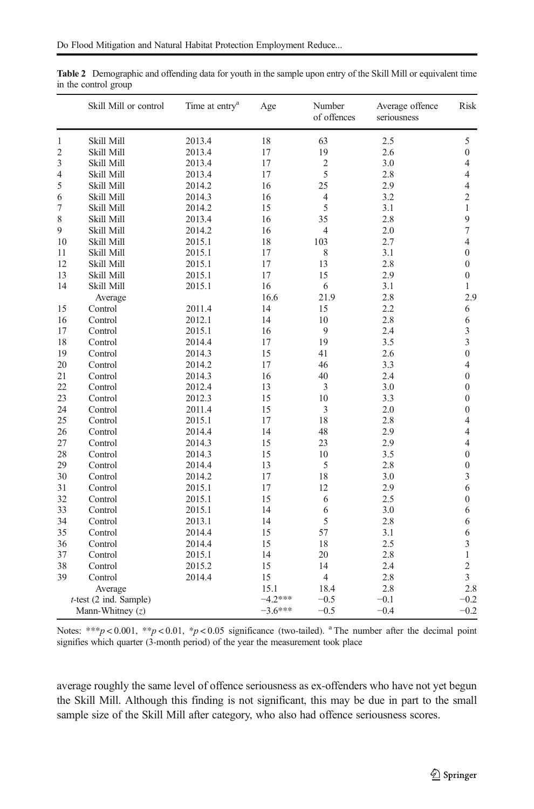<span id="page-10-0"></span>

| <b>Table 2</b> Demographic and offending data for youth in the sample upon entry of the Skill Mill or equivalent time |  |  |  |
|-----------------------------------------------------------------------------------------------------------------------|--|--|--|
| in the control group                                                                                                  |  |  |  |

|                | Skill Mill or control     | Time at entry <sup>a</sup> | Age       | Number<br>of offences | Average offence<br>seriousness | Risk             |
|----------------|---------------------------|----------------------------|-----------|-----------------------|--------------------------------|------------------|
| $\mathbf{1}$   | Skill Mill                | 2013.4                     | 18        | 63                    | 2.5                            | 5                |
| $\sqrt{2}$     | Skill Mill                | 2013.4                     | 17        | 19                    | 2.6                            | $\boldsymbol{0}$ |
| $\mathfrak{Z}$ | Skill Mill                | 2013.4                     | 17        | $\overline{c}$        | 3.0                            | 4                |
| 4              | Skill Mill                | 2013.4                     | 17        | 5                     | 2.8                            | $\overline{4}$   |
| 5              | Skill Mill                | 2014.2                     | 16        | 25                    | 2.9                            | 4                |
| 6              | Skill Mill                | 2014.3                     | 16        | $\overline{4}$        | 3.2                            | $\overline{2}$   |
| $\tau$         | Skill Mill                | 2014.2                     | 15        | 5                     | 3.1                            | 1                |
| 8              | Skill Mill                | 2013.4                     | 16        | 35                    | 2.8                            | 9                |
| 9              | <b>Skill Mill</b>         | 2014.2                     | 16        | $\overline{4}$        | 2.0                            | 7                |
| 10             | Skill Mill                | 2015.1                     | 18        | 103                   | 2.7                            | $\overline{4}$   |
| 11             | Skill Mill                | 2015.1                     | 17        | 8                     | 3.1                            | $\boldsymbol{0}$ |
| 12             | Skill Mill                | 2015.1                     | 17        | 13                    | 2.8                            | $\boldsymbol{0}$ |
| 13             | Skill Mill                | 2015.1                     | 17        | 15                    | 2.9                            | $\boldsymbol{0}$ |
| 14             | Skill Mill                | 2015.1                     | 16        | 6                     | 3.1                            | 1                |
|                | Average                   |                            | 16.6      | 21.9                  | 2.8                            | 2.9              |
| 15             | Control                   | 2011.4                     | 14        | 15                    | 2.2                            | 6                |
| 16             | Control                   | 2012.1                     | 14        | 10                    | 2.8                            | 6                |
| 17             | Control                   | 2015.1                     | 16        | 9                     | 2.4                            | 3                |
| 18             | Control                   | 2014.4                     | 17        | 19                    | 3.5                            | 3                |
| 19             | Control                   | 2014.3                     | 15        | 41                    | 2.6                            | $\boldsymbol{0}$ |
| 20             | Control                   | 2014.2                     | 17        | 46                    | 3.3                            | $\overline{4}$   |
| 21             | Control                   | 2014.3                     | 16        | 40                    | 2.4                            | $\mathbf{0}$     |
| 22             | Control                   | 2012.4                     | 13        | 3                     | 3.0                            | $\boldsymbol{0}$ |
| 23             | Control                   | 2012.3                     | 15        | 10                    | 3.3                            | $\mathbf{0}$     |
| 24             | Control                   | 2011.4                     | 15        | 3                     | 2.0                            | $\boldsymbol{0}$ |
| 25             | Control                   | 2015.1                     | 17        | 18                    | 2.8                            | $\overline{4}$   |
| 26             | Control                   | 2014.4                     | 14        | 48                    | 2.9                            | $\overline{4}$   |
| 27             | Control                   | 2014.3                     | 15        | 23                    | 2.9                            | 4                |
| 28             | Control                   | 2014.3                     | 15        | 10                    | 3.5                            | $\boldsymbol{0}$ |
| 29             | Control                   | 2014.4                     | 13        | 5                     | 2.8                            | $\boldsymbol{0}$ |
| 30             | Control                   | 2014.2                     | 17        | 18                    | 3.0                            | 3                |
| 31             | Control                   | 2015.1                     | 17        | 12                    | 2.9                            | 6                |
| 32             | Control                   | 2015.1                     | 15        | 6                     | 2.5                            | $\boldsymbol{0}$ |
| 33             | Control                   | 2015.1                     | 14        | 6                     | 3.0                            | 6                |
| 34             | Control                   | 2013.1                     | 14        | 5                     | 2.8                            | 6                |
| 35             | Control                   | 2014.4                     | 15        | 57                    | 3.1                            | 6                |
| 36             | Control                   | 2014.4                     | 15        | 18                    | 2.5                            | 3                |
| 37             | Control                   | 2015.1                     | 14        | 20                    | 2.8                            | $\mathbf{1}$     |
| 38             | Control                   | 2015.2                     | 15        | 14                    | 2.4                            | $\overline{c}$   |
| 39             | Control                   | 2014.4                     | 15        | $\overline{4}$        | 2.8                            | 3                |
|                | Average                   |                            | 15.1      | 18.4                  | 2.8                            | 2.8              |
|                | $t$ -test (2 ind. Sample) |                            | $-4.2***$ | $-0.5$                | $-0.1$                         | $-0.2$           |
|                | Mann-Whitney $(z)$        |                            | $-3.6***$ | $-0.5$                | $-0.4$                         | $-0.2$           |

Notes: \*\*\* $p$  < 0.001, \*\* $p$  < 0.01, \* $p$  < 0.05 significance (two-tailed). <sup>a</sup> The number after the decimal point signifies which quarter (3-month period) of the year the measurement took place

average roughly the same level of offence seriousness as ex-offenders who have not yet begun the Skill Mill. Although this finding is not significant, this may be due in part to the small sample size of the Skill Mill after category, who also had offence seriousness scores.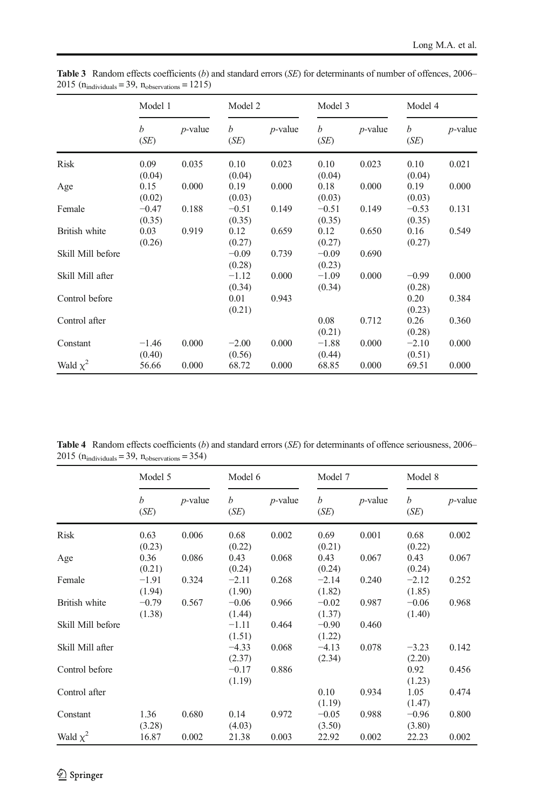|                   | Model 1           |            | Model 2           |            | Model 3           |            | Model 4           |            |
|-------------------|-------------------|------------|-------------------|------------|-------------------|------------|-------------------|------------|
|                   | b<br>(SE)         | $p$ -value | b<br>(SE)         | $p$ -value | b<br>(SE)         | $p$ -value | b<br>(SE)         | $p$ -value |
| Risk              | 0.09<br>(0.04)    | 0.035      | 0.10<br>(0.04)    | 0.023      | 0.10<br>(0.04)    | 0.023      | 0.10<br>(0.04)    | 0.021      |
| Age               | 0.15<br>(0.02)    | 0.000      | 0.19<br>(0.03)    | 0.000      | 0.18<br>(0.03)    | 0.000      | 0.19<br>(0.03)    | 0.000      |
| Female            | $-0.47$<br>(0.35) | 0.188      | $-0.51$<br>(0.35) | 0.149      | $-0.51$<br>(0.35) | 0.149      | $-0.53$<br>(0.35) | 0.131      |
| British white     | 0.03<br>(0.26)    | 0.919      | 0.12<br>(0.27)    | 0.659      | 0.12<br>(0.27)    | 0.650      | 0.16<br>(0.27)    | 0.549      |
| Skill Mill before |                   |            | $-0.09$<br>(0.28) | 0.739      | $-0.09$<br>(0.23) | 0.690      |                   |            |
| Skill Mill after  |                   |            | $-1.12$<br>(0.34) | 0.000      | $-1.09$<br>(0.34) | 0.000      | $-0.99$<br>(0.28) | 0.000      |
| Control before    |                   |            | 0.01<br>(0.21)    | 0.943      |                   |            | 0.20<br>(0.23)    | 0.384      |
| Control after     |                   |            |                   |            | 0.08<br>(0.21)    | 0.712      | 0.26<br>(0.28)    | 0.360      |
| Constant          | $-1.46$<br>(0.40) | 0.000      | $-2.00$<br>(0.56) | 0.000      | $-1.88$<br>(0.44) | 0.000      | $-2.10$<br>(0.51) | 0.000      |
| Wald $\chi^2$     | 56.66             | 0.000      | 68.72             | 0.000      | 68.85             | 0.000      | 69.51             | 0.000      |

<span id="page-11-0"></span>Table 3 Random effects coefficients (b) and standard errors (SE) for determinants of number of offences, 2006– 2015 ( $n_{individuals} = 39$ ,  $n_{observations} = 1215$ )

Table 4 Random effects coefficients (b) and standard errors (SE) for determinants of offence seriousness, 2006– 2015 ( $n_{individuals} = 39$ ,  $n_{observations} = 354$ )

|                   | Model 5           |            | Model 6           |            | Model 7           |            | Model 8           |            |
|-------------------|-------------------|------------|-------------------|------------|-------------------|------------|-------------------|------------|
|                   | b<br>(SE)         | $p$ -value | b<br>(SE)         | $p$ -value | b<br>(SE)         | $p$ -value | b<br>(SE)         | $p$ -value |
| Risk              | 0.63<br>(0.23)    | 0.006      | 0.68<br>(0.22)    | 0.002      | 0.69<br>(0.21)    | 0.001      | 0.68<br>(0.22)    | 0.002      |
| Age               | 0.36<br>(0.21)    | 0.086      | 0.43<br>(0.24)    | 0.068      | 0.43<br>(0.24)    | 0.067      | 0.43<br>(0.24)    | 0.067      |
| Female            | $-1.91$<br>(1.94) | 0.324      | $-2.11$<br>(1.90) | 0.268      | $-2.14$<br>(1.82) | 0.240      | $-2.12$<br>(1.85) | 0.252      |
| British white     | $-0.79$<br>(1.38) | 0.567      | $-0.06$<br>(1.44) | 0.966      | $-0.02$<br>(1.37) | 0.987      | $-0.06$<br>(1.40) | 0.968      |
| Skill Mill before |                   |            | $-1.11$<br>(1.51) | 0.464      | $-0.90$<br>(1.22) | 0.460      |                   |            |
| Skill Mill after  |                   |            | $-4.33$<br>(2.37) | 0.068      | $-4.13$<br>(2.34) | 0.078      | $-3.23$<br>(2.20) | 0.142      |
| Control before    |                   |            | $-0.17$<br>(1.19) | 0.886      |                   |            | 0.92<br>(1.23)    | 0.456      |
| Control after     |                   |            |                   |            | 0.10<br>(1.19)    | 0.934      | 1.05<br>(1.47)    | 0.474      |
| Constant          | 1.36<br>(3.28)    | 0.680      | 0.14<br>(4.03)    | 0.972      | $-0.05$<br>(3.50) | 0.988      | $-0.96$<br>(3.80) | 0.800      |
| Wald $\chi^2$     | 16.87             | 0.002      | 21.38             | 0.003      | 22.92             | 0.002      | 22.23             | 0.002      |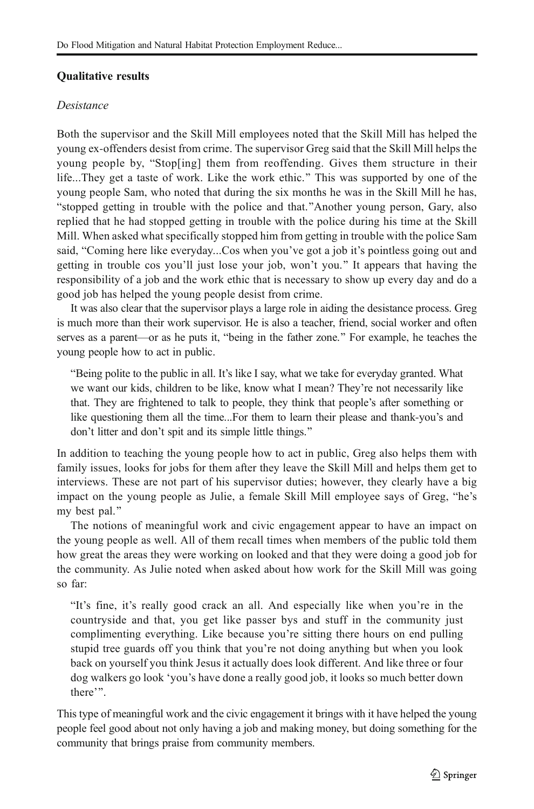# Qualitative results

## Desistance

Both the supervisor and the Skill Mill employees noted that the Skill Mill has helped the young ex-offenders desist from crime. The supervisor Greg said that the Skill Mill helps the young people by, "Stop[ing] them from reoffending. Gives them structure in their life...They get a taste of work. Like the work ethic." This was supported by one of the young people Sam, who noted that during the six months he was in the Skill Mill he has, Bstopped getting in trouble with the police and that.^Another young person, Gary, also replied that he had stopped getting in trouble with the police during his time at the Skill Mill. When asked what specifically stopped him from getting in trouble with the police Sam said, "Coming here like everyday...Cos when you've got a job it's pointless going out and getting in trouble cos you'll just lose your job, won't you." It appears that having the responsibility of a job and the work ethic that is necessary to show up every day and do a good job has helped the young people desist from crime.

It was also clear that the supervisor plays a large role in aiding the desistance process. Greg is much more than their work supervisor. He is also a teacher, friend, social worker and often serves as a parent—or as he puts it, "being in the father zone." For example, he teaches the young people how to act in public.

"Being polite to the public in all. It's like I say, what we take for everyday granted. What we want our kids, children to be like, know what I mean? They're not necessarily like that. They are frightened to talk to people, they think that people's after something or like questioning them all the time...For them to learn their please and thank-you's and don't litter and don't spit and its simple little things."

In addition to teaching the young people how to act in public, Greg also helps them with family issues, looks for jobs for them after they leave the Skill Mill and helps them get to interviews. These are not part of his supervisor duties; however, they clearly have a big impact on the young people as Julie, a female Skill Mill employee says of Greg, "he's my best pal."

The notions of meaningful work and civic engagement appear to have an impact on the young people as well. All of them recall times when members of the public told them how great the areas they were working on looked and that they were doing a good job for the community. As Julie noted when asked about how work for the Skill Mill was going so far:

BIt's fine, it's really good crack an all. And especially like when you're in the countryside and that, you get like passer bys and stuff in the community just complimenting everything. Like because you're sitting there hours on end pulling stupid tree guards off you think that you're not doing anything but when you look back on yourself you think Jesus it actually does look different. And like three or four dog walkers go look 'you's have done a really good job, it looks so much better down there'".

This type of meaningful work and the civic engagement it brings with it have helped the young people feel good about not only having a job and making money, but doing something for the community that brings praise from community members.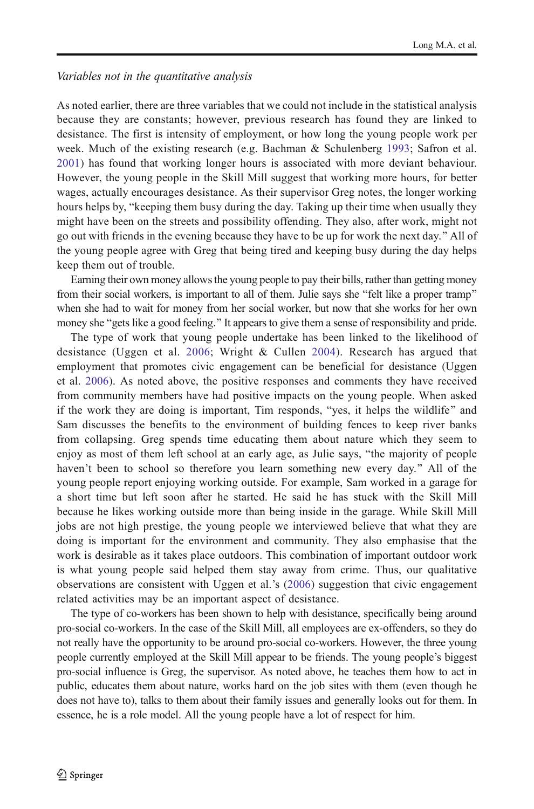#### Variables not in the quantitative analysis

As noted earlier, there are three variables that we could not include in the statistical analysis because they are constants; however, previous research has found they are linked to desistance. The first is intensity of employment, or how long the young people work per week. Much of the existing research (e.g. Bachman & Schulenberg [1993](#page-15-0); Safron et al. [2001](#page-16-0)) has found that working longer hours is associated with more deviant behaviour. However, the young people in the Skill Mill suggest that working more hours, for better wages, actually encourages desistance. As their supervisor Greg notes, the longer working hours helps by, "keeping them busy during the day. Taking up their time when usually they might have been on the streets and possibility offending. They also, after work, might not go out with friends in the evening because they have to be up for work the next day.^ All of the young people agree with Greg that being tired and keeping busy during the day helps keep them out of trouble.

Earning their own money allows the young people to pay their bills, rather than getting money from their social workers, is important to all of them. Julie says she "felt like a proper tramp" when she had to wait for money from her social worker, but now that she works for her own money she "gets like a good feeling." It appears to give them a sense of responsibility and pride.

The type of work that young people undertake has been linked to the likelihood of desistance (Uggen et al. [2006](#page-16-0); Wright & Cullen [2004\)](#page-16-0). Research has argued that employment that promotes civic engagement can be beneficial for desistance (Uggen et al. [2006\)](#page-16-0). As noted above, the positive responses and comments they have received from community members have had positive impacts on the young people. When asked if the work they are doing is important, Tim responds, "yes, it helps the wildlife" and Sam discusses the benefits to the environment of building fences to keep river banks from collapsing. Greg spends time educating them about nature which they seem to enjoy as most of them left school at an early age, as Julie says, "the majority of people haven't been to school so therefore you learn something new every day." All of the young people report enjoying working outside. For example, Sam worked in a garage for a short time but left soon after he started. He said he has stuck with the Skill Mill because he likes working outside more than being inside in the garage. While Skill Mill jobs are not high prestige, the young people we interviewed believe that what they are doing is important for the environment and community. They also emphasise that the work is desirable as it takes place outdoors. This combination of important outdoor work is what young people said helped them stay away from crime. Thus, our qualitative observations are consistent with Uggen et al.'s ([2006](#page-16-0)) suggestion that civic engagement related activities may be an important aspect of desistance.

The type of co-workers has been shown to help with desistance, specifically being around pro-social co-workers. In the case of the Skill Mill, all employees are ex-offenders, so they do not really have the opportunity to be around pro-social co-workers. However, the three young people currently employed at the Skill Mill appear to be friends. The young people's biggest pro-social influence is Greg, the supervisor. As noted above, he teaches them how to act in public, educates them about nature, works hard on the job sites with them (even though he does not have to), talks to them about their family issues and generally looks out for them. In essence, he is a role model. All the young people have a lot of respect for him.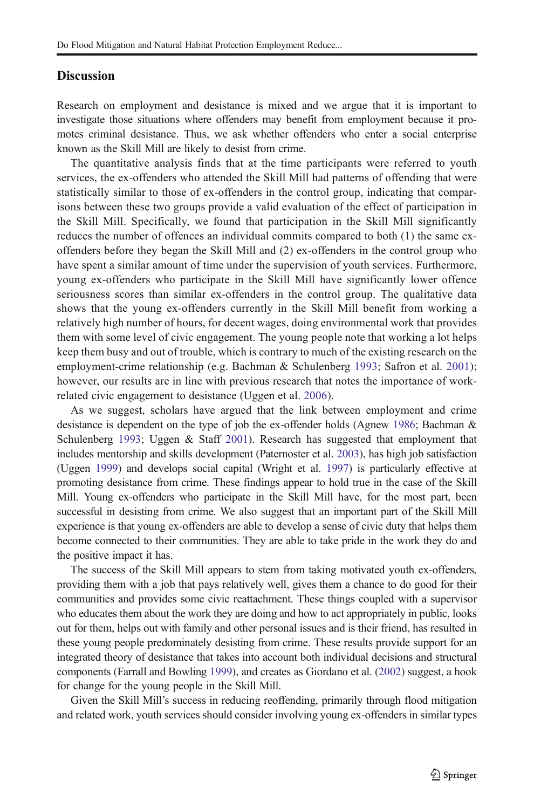# **Discussion**

Research on employment and desistance is mixed and we argue that it is important to investigate those situations where offenders may benefit from employment because it promotes criminal desistance. Thus, we ask whether offenders who enter a social enterprise known as the Skill Mill are likely to desist from crime.

The quantitative analysis finds that at the time participants were referred to youth services, the ex-offenders who attended the Skill Mill had patterns of offending that were statistically similar to those of ex-offenders in the control group, indicating that comparisons between these two groups provide a valid evaluation of the effect of participation in the Skill Mill. Specifically, we found that participation in the Skill Mill significantly reduces the number of offences an individual commits compared to both (1) the same exoffenders before they began the Skill Mill and (2) ex-offenders in the control group who have spent a similar amount of time under the supervision of youth services. Furthermore, young ex-offenders who participate in the Skill Mill have significantly lower offence seriousness scores than similar ex-offenders in the control group. The qualitative data shows that the young ex-offenders currently in the Skill Mill benefit from working a relatively high number of hours, for decent wages, doing environmental work that provides them with some level of civic engagement. The young people note that working a lot helps keep them busy and out of trouble, which is contrary to much of the existing research on the employment-crime relationship (e.g. Bachman & Schulenberg [1993;](#page-15-0) Safron et al. [2001\)](#page-16-0); however, our results are in line with previous research that notes the importance of workrelated civic engagement to desistance (Uggen et al. [2006](#page-16-0)).

As we suggest, scholars have argued that the link between employment and crime desistance is dependent on the type of job the ex-offender holds (Agnew [1986;](#page-15-0) Bachman & Schulenberg [1993](#page-15-0); Uggen & Staff [2001](#page-16-0)). Research has suggested that employment that includes mentorship and skills development (Paternoster et al. [2003\)](#page-16-0), has high job satisfaction (Uggen [1999](#page-16-0)) and develops social capital (Wright et al. [1997](#page-16-0)) is particularly effective at promoting desistance from crime. These findings appear to hold true in the case of the Skill Mill. Young ex-offenders who participate in the Skill Mill have, for the most part, been successful in desisting from crime. We also suggest that an important part of the Skill Mill experience is that young ex-offenders are able to develop a sense of civic duty that helps them become connected to their communities. They are able to take pride in the work they do and the positive impact it has.

The success of the Skill Mill appears to stem from taking motivated youth ex-offenders, providing them with a job that pays relatively well, gives them a chance to do good for their communities and provides some civic reattachment. These things coupled with a supervisor who educates them about the work they are doing and how to act appropriately in public, looks out for them, helps out with family and other personal issues and is their friend, has resulted in these young people predominately desisting from crime. These results provide support for an integrated theory of desistance that takes into account both individual decisions and structural components (Farrall and Bowling [1999](#page-15-0)), and creates as Giordano et al. ([2002](#page-15-0)) suggest, a hook for change for the young people in the Skill Mill.

Given the Skill Mill's success in reducing reoffending, primarily through flood mitigation and related work, youth services should consider involving young ex-offenders in similar types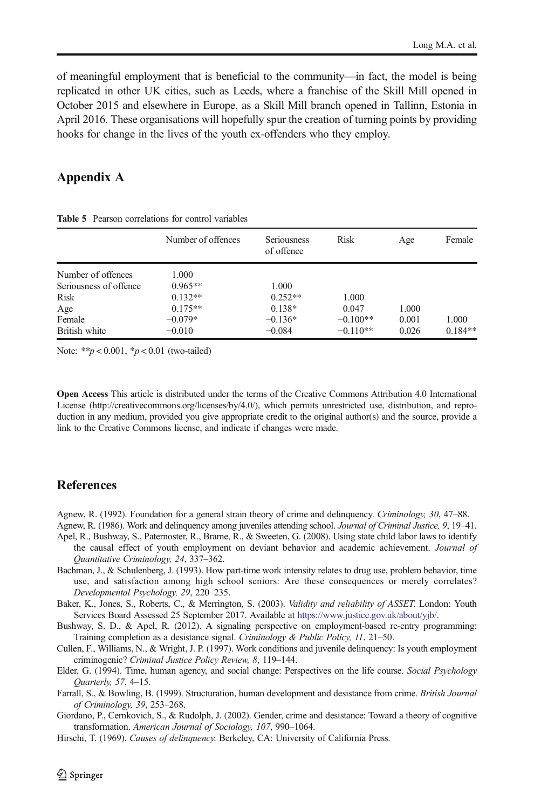<span id="page-15-0"></span>of meaningful employment that is beneficial to the community—in fact, the model is being replicated in other UK cities, such as Leeds, where a franchise of the Skill Mill opened in October 2015 and elsewhere in Europe, as a Skill Mill branch opened in Tallinn, Estonia in April 2016. These organisations will hopefully spur the creation of turning points by providing hooks for change in the lives of the youth ex-offenders who they employ.

# Appendix A

|                        | Number of offences | Seriousness<br>of offence | <b>Risk</b> | Age   | Female    |
|------------------------|--------------------|---------------------------|-------------|-------|-----------|
| Number of offences     | 1.000              |                           |             |       |           |
| Seriousness of offence | $0.965**$          | 1.000                     |             |       |           |
| Risk                   | $0.132**$          | $0.252**$                 | 1.000       |       |           |
| Age                    | $0.175**$          | $0.138*$                  | 0.047       | 1.000 |           |
| Female                 | $-0.079*$          | $-0.136*$                 | $-0.100**$  | 0.001 | 1.000     |
| British white          | $-0.010$           | $-0.084$                  | $-0.110**$  | 0.026 | $0.184**$ |

| <b>Table 5</b> Pearson correlations for control variables |
|-----------------------------------------------------------|
|-----------------------------------------------------------|

Note: \*\* $p < 0.001$ , \* $p < 0.01$  (two-tailed)

Open Access This article is distributed under the terms of the Creative Commons Attribution 4.0 International License (http://creativecommons.org/licenses/by/4.0/), which permits unrestricted use, distribution, and reproduction in any medium, provided you give appropriate credit to the original author(s) and the source, provide a link to the Creative Commons license, and indicate if changes were made.

# References

Agnew, R. (1992). Foundation for a general strain theory of crime and delinquency. Criminology, 30, 47–88.

Agnew, R. (1986). Work and delinquency among juveniles attending school. Journal of Criminal Justice, 9, 19–41. Apel, R., Bushway, S., Paternoster, R., Brame, R., & Sweeten, G. (2008). Using state child labor laws to identify

- the causal effect of youth employment on deviant behavior and academic achievement. Journal of Quantitative Criminology, 24, 337–362.
- Bachman, J., & Schulenberg, J. (1993). How part-time work intensity relates to drug use, problem behavior, time use, and satisfaction among high school seniors: Are these consequences or merely correlates? Developmental Psychology, 29, 220–235.

Baker, K., Jones, S., Roberts, C., & Merrington, S. (2003). Validity and reliability of ASSET. London: Youth Services Board Assessed 25 September 2017. Available at <https://www.justice.gov.uk/about/yjb/>.

Bushway, S. D., & Apel, R. (2012). A signaling perspective on employment-based re-entry programming: Training completion as a desistance signal. Criminology & Public Policy, 11, 21–50.

Cullen, F., Williams, N., & Wright, J. P. (1997). Work conditions and juvenile delinquency: Is youth employment criminogenic? Criminal Justice Policy Review, 8, 119–144.

Elder, G. (1994). Time, human agency, and social change: Perspectives on the life course. Social Psychology Quarterly, 57, 4–15.

Farrall, S., & Bowling, B. (1999). Structuration, human development and desistance from crime. British Journal of Criminology, 39, 253–268.

Giordano, P., Cernkovich, S., & Rudolph, J. (2002). Gender, crime and desistance: Toward a theory of cognitive transformation. American Journal of Sociology, 107, 990–1064.

Hirschi, T. (1969). Causes of delinquency. Berkeley, CA: University of California Press.